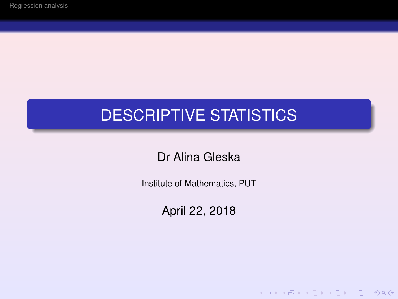# DESCRIPTIVE STATISTICS

Dr Alina Gleska

Institute of Mathematics, PUT

April 22, 2018

K ロ ▶ K @ ▶ K 할 ▶ K 할 ▶ | 할 | © Q Q @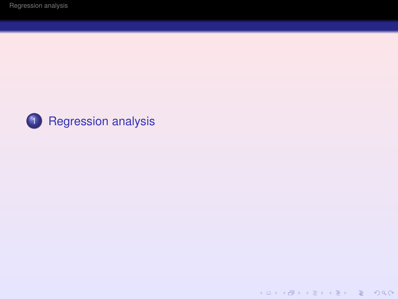

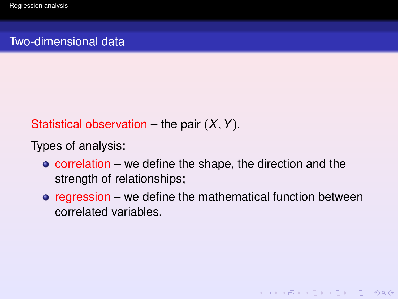### <span id="page-2-0"></span>Two-dimensional data

# Statistical observation – the pair (*X*,*Y*).

Types of analysis:

- $\bullet$  correlation we define the shape, the direction and the strength of relationships;
- $\bullet$  regression we define the mathematical function between correlated variables.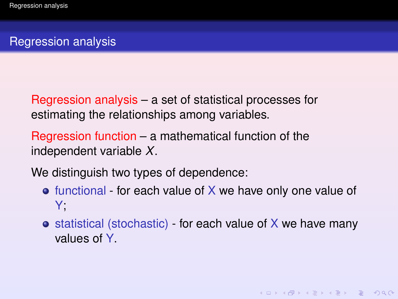# Regression analysis

Regression analysis – a set of statistical processes for estimating the relationships among variables.

Regression function – a mathematical function of the independent variable *X*.

We distinguish two types of dependence:

- $\bullet$  functional for each value of X we have only one value of Y;
- $\bullet$  statistical (stochastic) for each value of X we have many values of Y.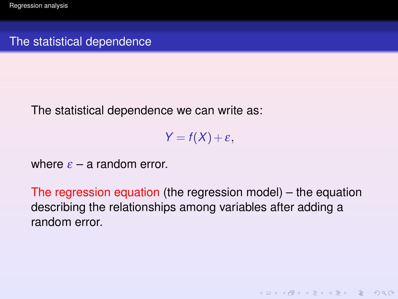The statistical dependence

The statistical dependence we can write as:

 $Y = f(X) + \varepsilon$ ,

where  $\varepsilon$  – a random error.

The regression equation (the regression model) – the equation describing the relationships among variables after adding a random error.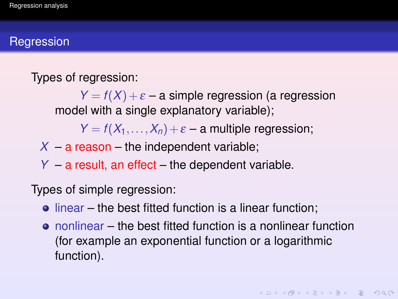#### **Regression**

Types of regression:

 $Y = f(X) + \varepsilon$  – a simple regression (a regression model with a single explanatory variable);

 $Y = f(X_1, \ldots, X_n) + \varepsilon$  – a multiple regression;

 $X - a$  reason – the independent variable;

*Y* – a result, an effect – the dependent variable.

Types of simple regression:

- $\bullet$  linear the best fitted function is a linear function;
- nonlinear the best fitted function is a nonlinear function (for example an exponential function or a logarithmic function).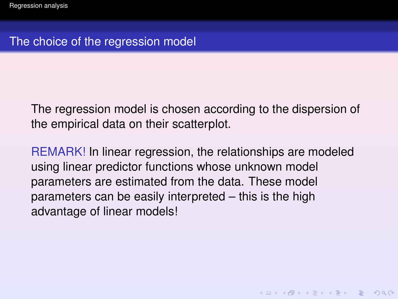### The choice of the regression model

The regression model is chosen according to the dispersion of the empirical data on their scatterplot.

REMARK! In linear regression, the relationships are modeled using linear predictor functions whose unknown model parameters are estimated from the data. These model parameters can be easily interpreted – this is the high advantage of linear models!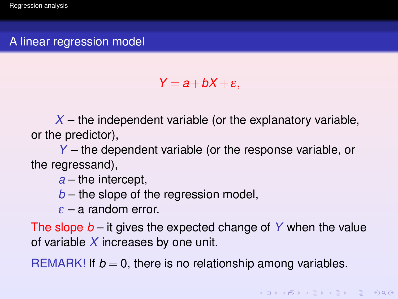### A linear regression model

 $Y = a + bX + \varepsilon$ .

 $X$  – the independent variable (or the explanatory variable, or the predictor),

*Y* – the dependent variable (or the response variable, or the regressand),

*a* – the intercept,

*b* – the slope of the regression model,

 $\varepsilon$  – a random error.

The slope *b* – it gives the expected change of *Y* when the value of variable *X* increases by one unit.

REMARK! If  $b = 0$ , there is no relationship among variables.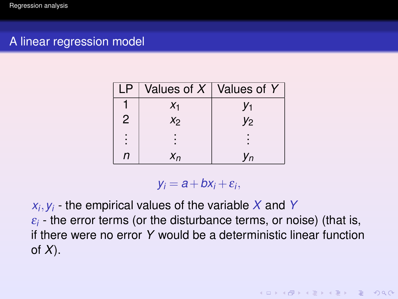# A linear regression model

| ΙP             |                | Values of $X \mid$ Values of Y |
|----------------|----------------|--------------------------------|
|                | $X_1$          | V1                             |
| $\overline{2}$ | X <sub>2</sub> | V <sub>2</sub>                 |
| $\vdots$       |                |                                |
| n              | $X_n$          | 'n                             |

 $y_i = a + bx_i + \varepsilon_i$ 

*xi* ,*yi* - the empirical values of the variable *X* and *Y*  $\varepsilon_i$  - the error terms (or the disturbance terms, or noise) (that is, if there were no error *Y* would be a deterministic linear function of *X*).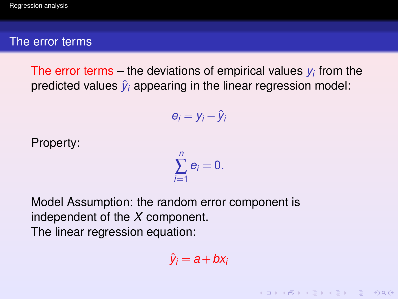#### The error terms

The error terms – the deviations of empirical values *y<sup>i</sup>* from the predicted values  $\hat{y}_i$  appearing in the linear regression model:

$$
e_i = y_i - \hat{y}_i
$$

Property:

$$
\sum_{i=1}^n e_i=0.
$$

Model Assumption: the random error component is independent of the *X* component. The linear regression equation:

$$
\hat{\mathbf{y}}_i = \mathbf{a} + \mathbf{b}\mathbf{x}_i
$$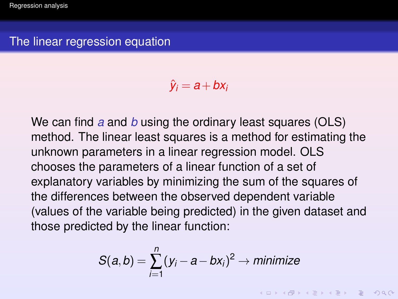$\hat{y}_i = a + bx_i$ 

We can find *a* and *b* using the ordinary least squares (OLS) method. The linear least squares is a method for estimating the unknown parameters in a linear regression model. OLS chooses the parameters of a linear function of a set of explanatory variables by minimizing the sum of the squares of the differences between the observed dependent variable (values of the variable being predicted) in the given dataset and those predicted by the linear function:

$$
S(a,b) = \sum_{i=1}^{n} (y_i - a - bx_i)^2 \rightarrow \text{minimize}
$$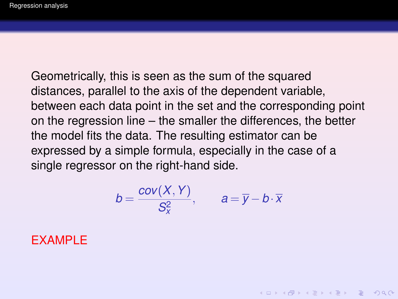Geometrically, this is seen as the sum of the squared distances, parallel to the axis of the dependent variable, between each data point in the set and the corresponding point on the regression line – the smaller the differences, the better the model fits the data. The resulting estimator can be expressed by a simple formula, especially in the case of a single regressor on the right-hand side.

$$
b=\frac{cov(X,Y)}{S_X^2},\qquad a=\overline{y}-b\cdot\overline{x}
$$

**KOD KARD KED KED DAR** 

#### EXAMPLE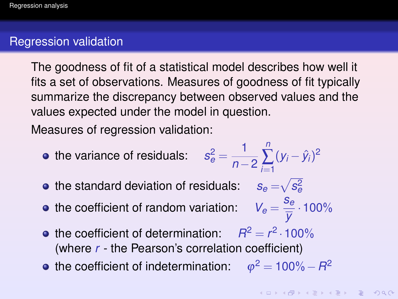#### Regression validation

The goodness of fit of a statistical model describes how well it fits a set of observations. Measures of goodness of fit typically summarize the discrepancy between observed values and the values expected under the model in question.

Measures of regression validation:

- the variance of residuals:  $s_e^2 = \frac{1}{p_e}$ *n*−2 *n* ∑ *i*=1  $(y_i - \hat{y}_i)^2$
- the standard deviation of residuals:  $\quad s_e\!=\!\!\sqrt{s_e^2}$
- the coefficient of random variation:  $V_e = \frac{S_e}{\overline{U}}$
- the coefficient of determination:  $R^2 = r^2 \cdot 100\%$ (where *r* - the Pearson's correlation coefficient)
- the coefficient of indetermination:  $\varphi^2 = 100\%-R^2$

 $\frac{2e}{\overline{y}}$  · 100%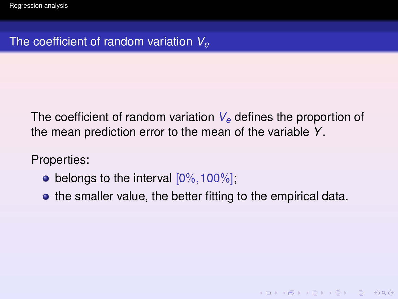# The coefficient of random variation *V<sup>e</sup>*

The coefficient of random variation *V<sup>e</sup>* defines the proportion of the mean prediction error to the mean of the variable *Y*.

Properties:

- belongs to the interval  $[0\%, 100\%]$ ;
- the smaller value, the better fitting to the empirical data.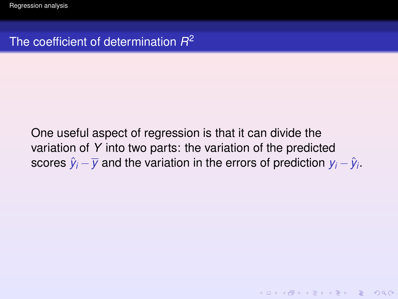One useful aspect of regression is that it can divide the variation of *Y* into two parts: the variation of the predicted scores  $\hat{y}_i - \overline{y}$  and the variation in the errors of prediction  $y_i - \hat{y}_i$ .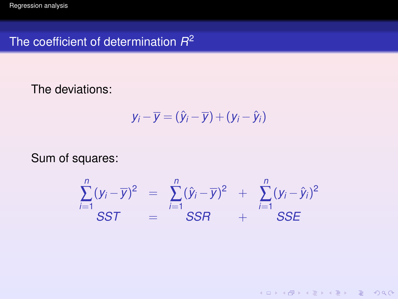The deviations:

$$
y_i - \overline{y} = (\hat{y}_i - \overline{y}) + (y_i - \hat{y}_i)
$$

Sum of squares:

$$
\sum_{i=1}^{n} (y_i - \overline{y})^2 = \sum_{i=1}^{n} (\hat{y}_i - \overline{y})^2 + \sum_{i=1}^{n} (y_i - \hat{y}_i)^2
$$
  
SST = SSR + SSE

K ロ ▶ K @ ▶ K 할 ▶ K 할 ▶ | 할 | © Q Q @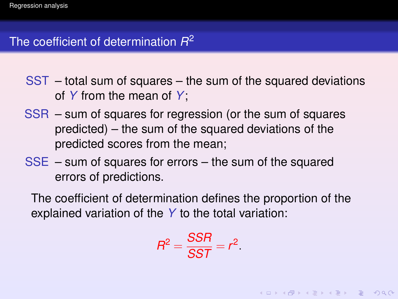- SST total sum of squares the sum of the squared deviations of *Y* from the mean of *Y*;
- SSR sum of squares for regression (or the sum of squares predicted) – the sum of the squared deviations of the predicted scores from the mean;
- SSE sum of squares for errors the sum of the squared errors of predictions.

The coefficient of determination defines the proportion of the explained variation of the *Y* to the total variation:

$$
R^2 = \frac{SSR}{SST} = r^2.
$$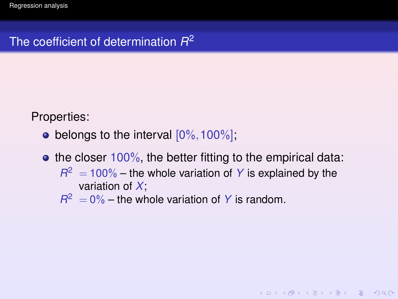Properties:

- belongs to the interval  $[0\%, 100\%]$ ;
- $\bullet$  the closer 100%, the better fitting to the empirical data:
	- $R^2 = 100\%$  the whole variation of *Y* is explained by the variation of *X*;

**KOD KARD KED KED DAR** 

 $R^2 = 0\%$  – the whole variation of *Y* is random.